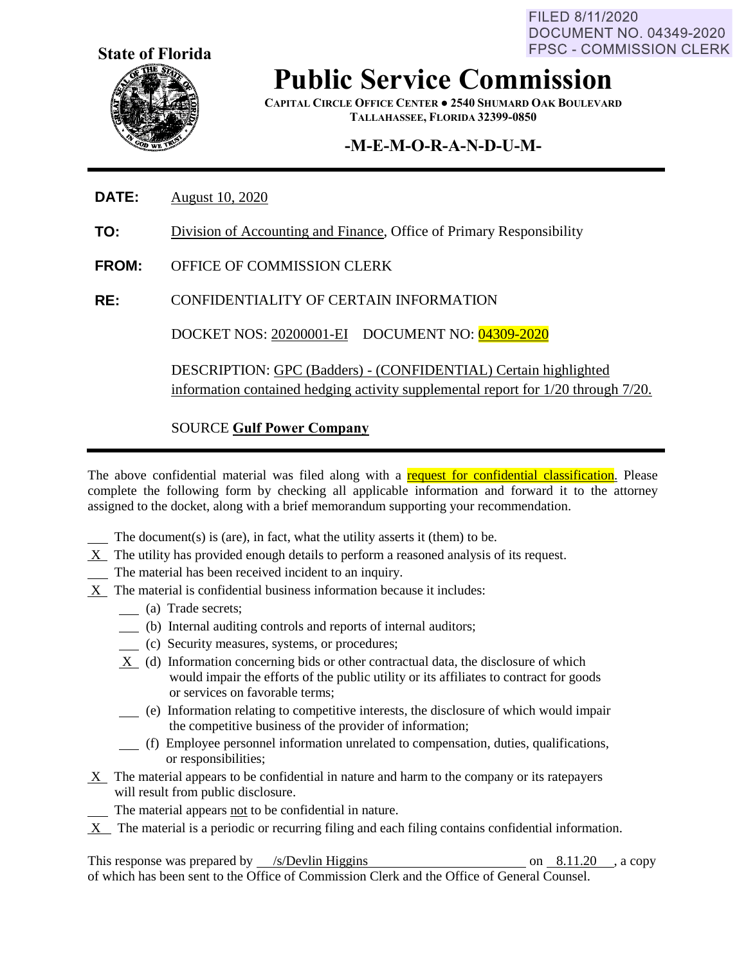FILED 8/11/2020 **DOCUMENT NO. 04349-2020 FPSC - COMMISSION CLERK** 



**Public Service Commission**

**CAPITAL CIRCLE OFFICE CENTER ● 2540 SHUMARD OAK BOULEVARD TALLAHASSEE, FLORIDA 32399-0850**

# **-M-E-M-O-R-A-N-D-U-M-**

- **DATE:** August 10, 2020
- **TO:** Division of Accounting and Finance, Office of Primary Responsibility
- **FROM:** OFFICE OF COMMISSION CLERK
- **RE:** CONFIDENTIALITY OF CERTAIN INFORMATION

DOCKET NOS: 20200001-EI DOCUMENT NO: 04309-2020

DESCRIPTION: GPC (Badders) - (CONFIDENTIAL) Certain highlighted information contained hedging activity supplemental report for 1/20 through 7/20.

### SOURCE **Gulf Power Company**

The above confidential material was filed along with a request for confidential classification. Please complete the following form by checking all applicable information and forward it to the attorney assigned to the docket, along with a brief memorandum supporting your recommendation.

The document(s) is (are), in fact, what the utility asserts it (them) to be.

- $X$  The utility has provided enough details to perform a reasoned analysis of its request.
- The material has been received incident to an inquiry.
- X The material is confidential business information because it includes:
	- (a) Trade secrets;
	- (b) Internal auditing controls and reports of internal auditors;
	- (c) Security measures, systems, or procedures;
	- X (d) Information concerning bids or other contractual data, the disclosure of which would impair the efforts of the public utility or its affiliates to contract for goods or services on favorable terms;
	- (e) Information relating to competitive interests, the disclosure of which would impair the competitive business of the provider of information;
	- (f) Employee personnel information unrelated to compensation, duties, qualifications, or responsibilities;
- $X$  The material appears to be confidential in nature and harm to the company or its ratepayers will result from public disclosure.
	- The material appears not to be confidential in nature.
- X The material is a periodic or recurring filing and each filing contains confidential information.

This response was prepared by  $\frac{\sqrt{s}}{D}$ evlin Higgins on 8.11.20 , a copy of which has been sent to the Office of Commission Clerk and the Office of General Counsel.